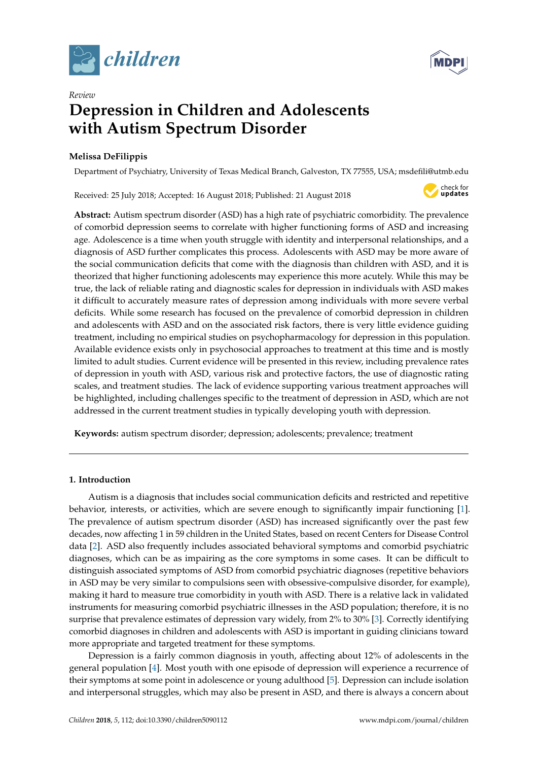



# **Depression in Children and Adolescents with Autism Spectrum Disorder**

# **Melissa DeFilippis**

*Review*

Department of Psychiatry, University of Texas Medical Branch, Galveston, TX 77555, USA; msdefili@utmb.edu

Received: 25 July 2018; Accepted: 16 August 2018; Published: 21 August 2018



**Abstract:** Autism spectrum disorder (ASD) has a high rate of psychiatric comorbidity. The prevalence of comorbid depression seems to correlate with higher functioning forms of ASD and increasing age. Adolescence is a time when youth struggle with identity and interpersonal relationships, and a diagnosis of ASD further complicates this process. Adolescents with ASD may be more aware of the social communication deficits that come with the diagnosis than children with ASD, and it is theorized that higher functioning adolescents may experience this more acutely. While this may be true, the lack of reliable rating and diagnostic scales for depression in individuals with ASD makes it difficult to accurately measure rates of depression among individuals with more severe verbal deficits. While some research has focused on the prevalence of comorbid depression in children and adolescents with ASD and on the associated risk factors, there is very little evidence guiding treatment, including no empirical studies on psychopharmacology for depression in this population. Available evidence exists only in psychosocial approaches to treatment at this time and is mostly limited to adult studies. Current evidence will be presented in this review, including prevalence rates of depression in youth with ASD, various risk and protective factors, the use of diagnostic rating scales, and treatment studies. The lack of evidence supporting various treatment approaches will be highlighted, including challenges specific to the treatment of depression in ASD, which are not addressed in the current treatment studies in typically developing youth with depression.

**Keywords:** autism spectrum disorder; depression; adolescents; prevalence; treatment

## **1. Introduction**

Autism is a diagnosis that includes social communication deficits and restricted and repetitive behavior, interests, or activities, which are severe enough to significantly impair functioning [\[1\]](#page-5-0). The prevalence of autism spectrum disorder (ASD) has increased significantly over the past few decades, now affecting 1 in 59 children in the United States, based on recent Centers for Disease Control data [\[2\]](#page-5-1). ASD also frequently includes associated behavioral symptoms and comorbid psychiatric diagnoses, which can be as impairing as the core symptoms in some cases. It can be difficult to distinguish associated symptoms of ASD from comorbid psychiatric diagnoses (repetitive behaviors in ASD may be very similar to compulsions seen with obsessive-compulsive disorder, for example), making it hard to measure true comorbidity in youth with ASD. There is a relative lack in validated instruments for measuring comorbid psychiatric illnesses in the ASD population; therefore, it is no surprise that prevalence estimates of depression vary widely, from 2% to 30% [\[3\]](#page-5-2). Correctly identifying comorbid diagnoses in children and adolescents with ASD is important in guiding clinicians toward more appropriate and targeted treatment for these symptoms.

Depression is a fairly common diagnosis in youth, affecting about 12% of adolescents in the general population [\[4\]](#page-5-3). Most youth with one episode of depression will experience a recurrence of their symptoms at some point in adolescence or young adulthood [\[5\]](#page-5-4). Depression can include isolation and interpersonal struggles, which may also be present in ASD, and there is always a concern about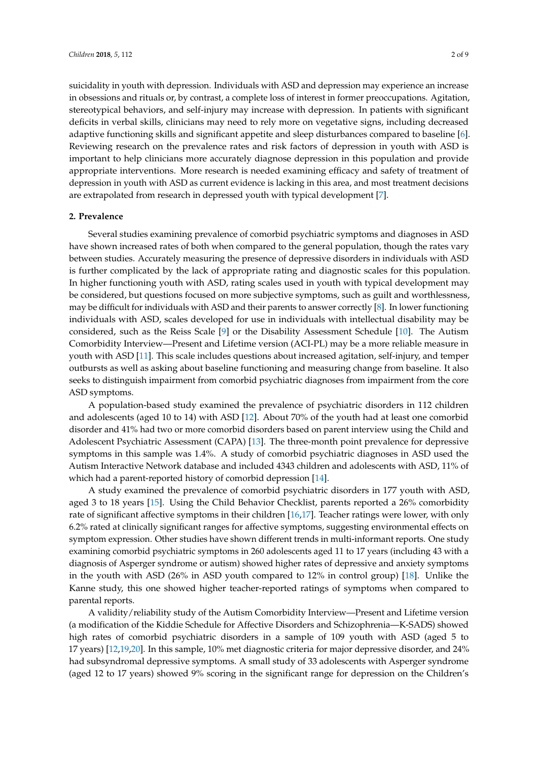suicidality in youth with depression. Individuals with ASD and depression may experience an increase in obsessions and rituals or, by contrast, a complete loss of interest in former preoccupations. Agitation, stereotypical behaviors, and self-injury may increase with depression. In patients with significant deficits in verbal skills, clinicians may need to rely more on vegetative signs, including decreased adaptive functioning skills and significant appetite and sleep disturbances compared to baseline [\[6\]](#page-5-5).

Reviewing research on the prevalence rates and risk factors of depression in youth with ASD is important to help clinicians more accurately diagnose depression in this population and provide appropriate interventions. More research is needed examining efficacy and safety of treatment of depression in youth with ASD as current evidence is lacking in this area, and most treatment decisions are extrapolated from research in depressed youth with typical development [\[7\]](#page-5-6).

## **2. Prevalence**

Several studies examining prevalence of comorbid psychiatric symptoms and diagnoses in ASD have shown increased rates of both when compared to the general population, though the rates vary between studies. Accurately measuring the presence of depressive disorders in individuals with ASD is further complicated by the lack of appropriate rating and diagnostic scales for this population. In higher functioning youth with ASD, rating scales used in youth with typical development may be considered, but questions focused on more subjective symptoms, such as guilt and worthlessness, may be difficult for individuals with ASD and their parents to answer correctly [\[8\]](#page-5-7). In lower functioning individuals with ASD, scales developed for use in individuals with intellectual disability may be considered, such as the Reiss Scale [\[9\]](#page-5-8) or the Disability Assessment Schedule [\[10\]](#page-5-9). The Autism Comorbidity Interview—Present and Lifetime version (ACI-PL) may be a more reliable measure in youth with ASD [\[11\]](#page-5-10). This scale includes questions about increased agitation, self-injury, and temper outbursts as well as asking about baseline functioning and measuring change from baseline. It also seeks to distinguish impairment from comorbid psychiatric diagnoses from impairment from the core ASD symptoms.

A population-based study examined the prevalence of psychiatric disorders in 112 children and adolescents (aged 10 to 14) with ASD [\[12\]](#page-5-11). About 70% of the youth had at least one comorbid disorder and 41% had two or more comorbid disorders based on parent interview using the Child and Adolescent Psychiatric Assessment (CAPA) [\[13\]](#page-5-12). The three-month point prevalence for depressive symptoms in this sample was 1.4%. A study of comorbid psychiatric diagnoses in ASD used the Autism Interactive Network database and included 4343 children and adolescents with ASD, 11% of which had a parent-reported history of comorbid depression [\[14\]](#page-5-13).

A study examined the prevalence of comorbid psychiatric disorders in 177 youth with ASD, aged 3 to 18 years [\[15\]](#page-6-0). Using the Child Behavior Checklist, parents reported a 26% comorbidity rate of significant affective symptoms in their children [\[16](#page-6-1)[,17\]](#page-6-2). Teacher ratings were lower, with only 6.2% rated at clinically significant ranges for affective symptoms, suggesting environmental effects on symptom expression. Other studies have shown different trends in multi-informant reports. One study examining comorbid psychiatric symptoms in 260 adolescents aged 11 to 17 years (including 43 with a diagnosis of Asperger syndrome or autism) showed higher rates of depressive and anxiety symptoms in the youth with ASD (26% in ASD youth compared to 12% in control group) [\[18\]](#page-6-3). Unlike the Kanne study, this one showed higher teacher-reported ratings of symptoms when compared to parental reports.

A validity/reliability study of the Autism Comorbidity Interview—Present and Lifetime version (a modification of the Kiddie Schedule for Affective Disorders and Schizophrenia—K-SADS) showed high rates of comorbid psychiatric disorders in a sample of 109 youth with ASD (aged 5 to 17 years) [\[12](#page-5-11)[,19](#page-6-4)[,20\]](#page-6-5). In this sample, 10% met diagnostic criteria for major depressive disorder, and 24% had subsyndromal depressive symptoms. A small study of 33 adolescents with Asperger syndrome (aged 12 to 17 years) showed 9% scoring in the significant range for depression on the Children's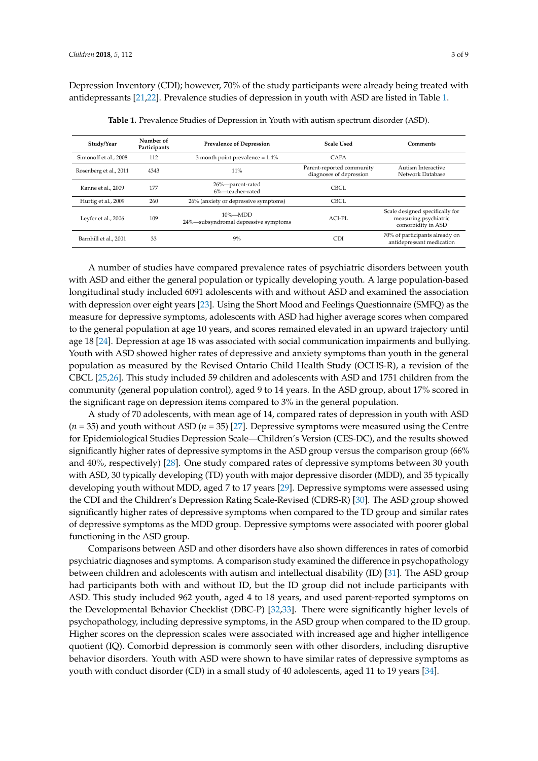<span id="page-2-0"></span>Depression Inventory (CDI); however, 70% of the study participants were already being treated with antidepressants [\[21](#page-6-6)[,22\]](#page-6-7). Prevalence studies of depression in youth with ASD are listed in Table [1.](#page-2-0)

| Study/Year             | Number of<br>Participants | <b>Prevalence of Depression</b>                     | <b>Scale Used</b>                                    | Comments                                                                       |
|------------------------|---------------------------|-----------------------------------------------------|------------------------------------------------------|--------------------------------------------------------------------------------|
| Simonoff et al., 2008  | 112                       | 3 month point prevalence $= 1.4\%$                  | CAPA                                                 |                                                                                |
| Rosenberg et al., 2011 | 4343                      | 11%                                                 | Parent-reported community<br>diagnoses of depression | Autism Interactive<br>Network Database                                         |
| Kanne et al., 2009     | 177                       | 26%-parent-rated<br>6%-teacher-rated                | CBCL.                                                |                                                                                |
| Hurtig et al., 2009    | 260                       | 26% (anxiety or depressive symptoms)                | <b>CBCL</b>                                          |                                                                                |
| Leyfer et al., 2006    | 109                       | $10\%$ —MDD<br>24%—subsyndromal depressive symptoms | ACI-PI.                                              | Scale designed specifically for<br>measuring psychiatric<br>comorbidity in ASD |
| Barnhill et al., 2001  | 33                        | 9%                                                  | <b>CDI</b>                                           | 70% of participants already on<br>antidepressant medication                    |

**Table 1.** Prevalence Studies of Depression in Youth with autism spectrum disorder (ASD).

A number of studies have compared prevalence rates of psychiatric disorders between youth with ASD and either the general population or typically developing youth. A large population-based longitudinal study included 6091 adolescents with and without ASD and examined the association with depression over eight years [\[23\]](#page-6-8). Using the Short Mood and Feelings Questionnaire (SMFQ) as the measure for depressive symptoms, adolescents with ASD had higher average scores when compared to the general population at age 10 years, and scores remained elevated in an upward trajectory until age 18 [\[24\]](#page-6-9). Depression at age 18 was associated with social communication impairments and bullying. Youth with ASD showed higher rates of depressive and anxiety symptoms than youth in the general population as measured by the Revised Ontario Child Health Study (OCHS-R), a revision of the CBCL [\[25,](#page-6-10)[26\]](#page-6-11). This study included 59 children and adolescents with ASD and 1751 children from the community (general population control), aged 9 to 14 years. In the ASD group, about 17% scored in the significant rage on depression items compared to 3% in the general population.

A study of 70 adolescents, with mean age of 14, compared rates of depression in youth with ASD (*n* = 35) and youth without ASD (*n* = 35) [\[27\]](#page-6-12). Depressive symptoms were measured using the Centre for Epidemiological Studies Depression Scale—Children's Version (CES-DC), and the results showed significantly higher rates of depressive symptoms in the ASD group versus the comparison group (66% and 40%, respectively) [\[28\]](#page-6-13). One study compared rates of depressive symptoms between 30 youth with ASD, 30 typically developing (TD) youth with major depressive disorder (MDD), and 35 typically developing youth without MDD, aged 7 to 17 years [\[29\]](#page-6-14). Depressive symptoms were assessed using the CDI and the Children's Depression Rating Scale-Revised (CDRS-R) [\[30\]](#page-6-15). The ASD group showed significantly higher rates of depressive symptoms when compared to the TD group and similar rates of depressive symptoms as the MDD group. Depressive symptoms were associated with poorer global functioning in the ASD group.

Comparisons between ASD and other disorders have also shown differences in rates of comorbid psychiatric diagnoses and symptoms. A comparison study examined the difference in psychopathology between children and adolescents with autism and intellectual disability (ID) [\[31\]](#page-6-16). The ASD group had participants both with and without ID, but the ID group did not include participants with ASD. This study included 962 youth, aged 4 to 18 years, and used parent-reported symptoms on the Developmental Behavior Checklist (DBC-P) [\[32](#page-6-17)[,33\]](#page-6-18). There were significantly higher levels of psychopathology, including depressive symptoms, in the ASD group when compared to the ID group. Higher scores on the depression scales were associated with increased age and higher intelligence quotient (IQ). Comorbid depression is commonly seen with other disorders, including disruptive behavior disorders. Youth with ASD were shown to have similar rates of depressive symptoms as youth with conduct disorder (CD) in a small study of 40 adolescents, aged 11 to 19 years [\[34\]](#page-6-19).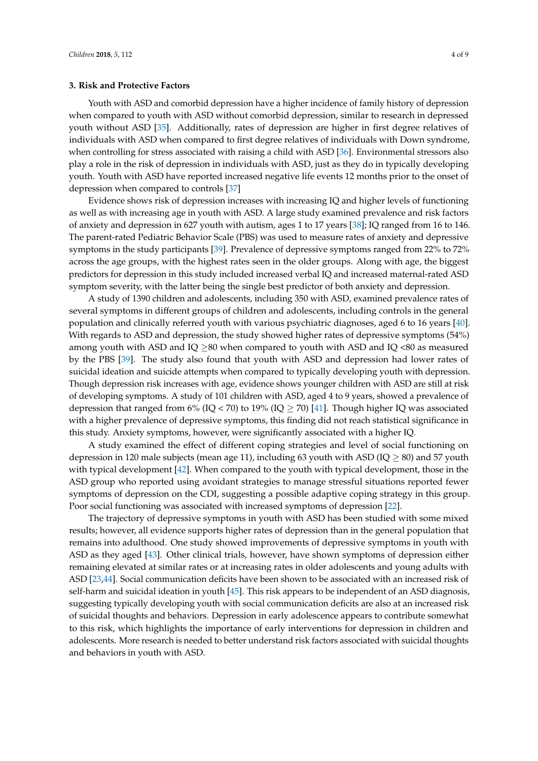#### **3. Risk and Protective Factors**

Youth with ASD and comorbid depression have a higher incidence of family history of depression when compared to youth with ASD without comorbid depression, similar to research in depressed youth without ASD [\[35\]](#page-6-20). Additionally, rates of depression are higher in first degree relatives of individuals with ASD when compared to first degree relatives of individuals with Down syndrome, when controlling for stress associated with raising a child with ASD [\[36\]](#page-6-21). Environmental stressors also play a role in the risk of depression in individuals with ASD, just as they do in typically developing youth. Youth with ASD have reported increased negative life events 12 months prior to the onset of depression when compared to controls [\[37\]](#page-7-0)

Evidence shows risk of depression increases with increasing IQ and higher levels of functioning as well as with increasing age in youth with ASD. A large study examined prevalence and risk factors of anxiety and depression in 627 youth with autism, ages 1 to 17 years [\[38\]](#page-7-1); IQ ranged from 16 to 146. The parent-rated Pediatric Behavior Scale (PBS) was used to measure rates of anxiety and depressive symptoms in the study participants [\[39\]](#page-7-2). Prevalence of depressive symptoms ranged from 22% to 72% across the age groups, with the highest rates seen in the older groups. Along with age, the biggest predictors for depression in this study included increased verbal IQ and increased maternal-rated ASD symptom severity, with the latter being the single best predictor of both anxiety and depression.

A study of 1390 children and adolescents, including 350 with ASD, examined prevalence rates of several symptoms in different groups of children and adolescents, including controls in the general population and clinically referred youth with various psychiatric diagnoses, aged 6 to 16 years [\[40\]](#page-7-3). With regards to ASD and depression, the study showed higher rates of depressive symptoms (54%) among youth with ASD and  $IQ \geq 80$  when compared to youth with ASD and  $IQ \ltimes 80$  as measured by the PBS [\[39\]](#page-7-2). The study also found that youth with ASD and depression had lower rates of suicidal ideation and suicide attempts when compared to typically developing youth with depression. Though depression risk increases with age, evidence shows younger children with ASD are still at risk of developing symptoms. A study of 101 children with ASD, aged 4 to 9 years, showed a prevalence of depression that ranged from 6% (IQ < 70) to 19% (IQ  $\geq$  70) [\[41\]](#page-7-4). Though higher IQ was associated with a higher prevalence of depressive symptoms, this finding did not reach statistical significance in this study. Anxiety symptoms, however, were significantly associated with a higher IQ.

A study examined the effect of different coping strategies and level of social functioning on depression in 120 male subjects (mean age 11), including 63 youth with ASD ( $IQ \ge 80$ ) and 57 youth with typical development [\[42\]](#page-7-5). When compared to the youth with typical development, those in the ASD group who reported using avoidant strategies to manage stressful situations reported fewer symptoms of depression on the CDI, suggesting a possible adaptive coping strategy in this group. Poor social functioning was associated with increased symptoms of depression [\[22\]](#page-6-7).

The trajectory of depressive symptoms in youth with ASD has been studied with some mixed results; however, all evidence supports higher rates of depression than in the general population that remains into adulthood. One study showed improvements of depressive symptoms in youth with ASD as they aged [\[43\]](#page-7-6). Other clinical trials, however, have shown symptoms of depression either remaining elevated at similar rates or at increasing rates in older adolescents and young adults with ASD [\[23,](#page-6-8)[44\]](#page-7-7). Social communication deficits have been shown to be associated with an increased risk of self-harm and suicidal ideation in youth [\[45\]](#page-7-8). This risk appears to be independent of an ASD diagnosis, suggesting typically developing youth with social communication deficits are also at an increased risk of suicidal thoughts and behaviors. Depression in early adolescence appears to contribute somewhat to this risk, which highlights the importance of early interventions for depression in children and adolescents. More research is needed to better understand risk factors associated with suicidal thoughts and behaviors in youth with ASD.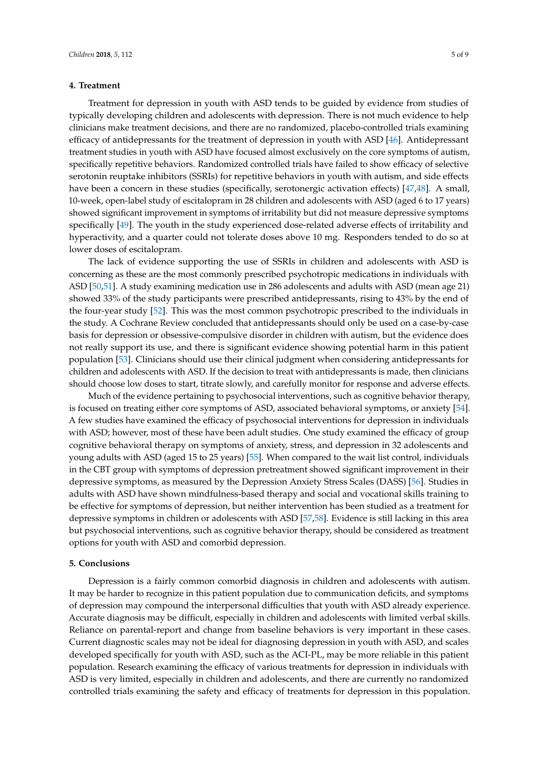## **4. Treatment**

Treatment for depression in youth with ASD tends to be guided by evidence from studies of typically developing children and adolescents with depression. There is not much evidence to help clinicians make treatment decisions, and there are no randomized, placebo-controlled trials examining efficacy of antidepressants for the treatment of depression in youth with ASD [\[46\]](#page-7-9). Antidepressant treatment studies in youth with ASD have focused almost exclusively on the core symptoms of autism, specifically repetitive behaviors. Randomized controlled trials have failed to show efficacy of selective serotonin reuptake inhibitors (SSRIs) for repetitive behaviors in youth with autism, and side effects have been a concern in these studies (specifically, serotonergic activation effects) [\[47,](#page-7-10)[48\]](#page-7-11). A small, 10-week, open-label study of escitalopram in 28 children and adolescents with ASD (aged 6 to 17 years) showed significant improvement in symptoms of irritability but did not measure depressive symptoms specifically [\[49\]](#page-7-12). The youth in the study experienced dose-related adverse effects of irritability and hyperactivity, and a quarter could not tolerate doses above 10 mg. Responders tended to do so at lower doses of escitalopram.

The lack of evidence supporting the use of SSRIs in children and adolescents with ASD is concerning as these are the most commonly prescribed psychotropic medications in individuals with ASD [\[50,](#page-7-13)[51\]](#page-7-14). A study examining medication use in 286 adolescents and adults with ASD (mean age 21) showed 33% of the study participants were prescribed antidepressants, rising to 43% by the end of the four-year study [\[52\]](#page-7-15). This was the most common psychotropic prescribed to the individuals in the study. A Cochrane Review concluded that antidepressants should only be used on a case-by-case basis for depression or obsessive-compulsive disorder in children with autism, but the evidence does not really support its use, and there is significant evidence showing potential harm in this patient population [\[53\]](#page-7-16). Clinicians should use their clinical judgment when considering antidepressants for children and adolescents with ASD. If the decision to treat with antidepressants is made, then clinicians should choose low doses to start, titrate slowly, and carefully monitor for response and adverse effects.

Much of the evidence pertaining to psychosocial interventions, such as cognitive behavior therapy, is focused on treating either core symptoms of ASD, associated behavioral symptoms, or anxiety [\[54\]](#page-7-17). A few studies have examined the efficacy of psychosocial interventions for depression in individuals with ASD; however, most of these have been adult studies. One study examined the efficacy of group cognitive behavioral therapy on symptoms of anxiety, stress, and depression in 32 adolescents and young adults with ASD (aged 15 to 25 years) [\[55\]](#page-7-18). When compared to the wait list control, individuals in the CBT group with symptoms of depression pretreatment showed significant improvement in their depressive symptoms, as measured by the Depression Anxiety Stress Scales (DASS) [\[56\]](#page-8-0). Studies in adults with ASD have shown mindfulness-based therapy and social and vocational skills training to be effective for symptoms of depression, but neither intervention has been studied as a treatment for depressive symptoms in children or adolescents with ASD [\[57,](#page-8-1)[58\]](#page-8-2). Evidence is still lacking in this area but psychosocial interventions, such as cognitive behavior therapy, should be considered as treatment options for youth with ASD and comorbid depression.

#### **5. Conclusions**

Depression is a fairly common comorbid diagnosis in children and adolescents with autism. It may be harder to recognize in this patient population due to communication deficits, and symptoms of depression may compound the interpersonal difficulties that youth with ASD already experience. Accurate diagnosis may be difficult, especially in children and adolescents with limited verbal skills. Reliance on parental-report and change from baseline behaviors is very important in these cases. Current diagnostic scales may not be ideal for diagnosing depression in youth with ASD, and scales developed specifically for youth with ASD, such as the ACI-PL, may be more reliable in this patient population. Research examining the efficacy of various treatments for depression in individuals with ASD is very limited, especially in children and adolescents, and there are currently no randomized controlled trials examining the safety and efficacy of treatments for depression in this population.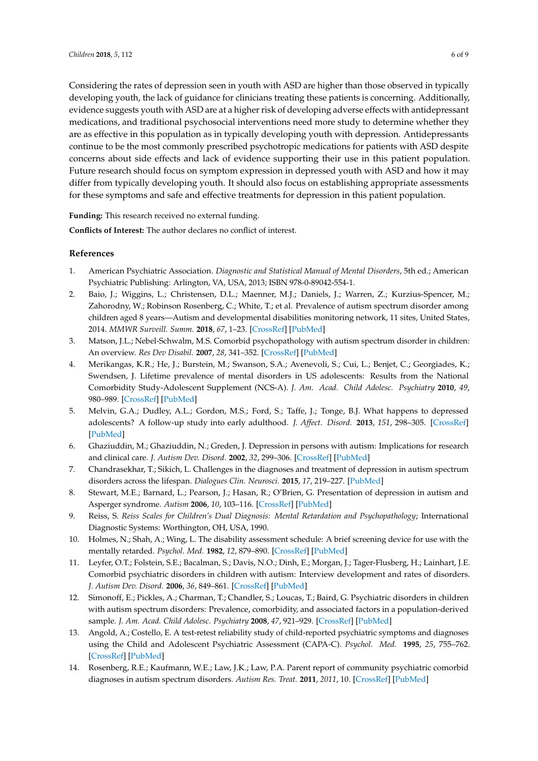Considering the rates of depression seen in youth with ASD are higher than those observed in typically developing youth, the lack of guidance for clinicians treating these patients is concerning. Additionally, evidence suggests youth with ASD are at a higher risk of developing adverse effects with antidepressant medications, and traditional psychosocial interventions need more study to determine whether they are as effective in this population as in typically developing youth with depression. Antidepressants continue to be the most commonly prescribed psychotropic medications for patients with ASD despite concerns about side effects and lack of evidence supporting their use in this patient population. Future research should focus on symptom expression in depressed youth with ASD and how it may differ from typically developing youth. It should also focus on establishing appropriate assessments for these symptoms and safe and effective treatments for depression in this patient population.

**Funding:** This research received no external funding.

**Conflicts of Interest:** The author declares no conflict of interest.

## **References**

- <span id="page-5-0"></span>1. American Psychiatric Association. *Diagnostic and Statistical Manual of Mental Disorders*, 5th ed.; American Psychiatric Publishing: Arlington, VA, USA, 2013; ISBN 978-0-89042-554-1.
- <span id="page-5-1"></span>2. Baio, J.; Wiggins, L.; Christensen, D.L.; Maenner, M.J.; Daniels, J.; Warren, Z.; Kurzius-Spencer, M.; Zahorodny, W.; Robinson Rosenberg, C.; White, T.; et al. Prevalence of autism spectrum disorder among children aged 8 years—Autism and developmental disabilities monitoring network, 11 sites, United States, 2014. *MMWR Surveill. Summ.* **2018**, *67*, 1–23. [\[CrossRef\]](http://dx.doi.org/10.15585/mmwr.ss6706a1) [\[PubMed\]](http://www.ncbi.nlm.nih.gov/pubmed/29701730)
- <span id="page-5-2"></span>3. Matson, J.L.; Nebel-Schwalm, M.S. Comorbid psychopathology with autism spectrum disorder in children: An overview. *Res Dev Disabil.* **2007**, *28*, 341–352. [\[CrossRef\]](http://dx.doi.org/10.1016/j.ridd.2005.12.004) [\[PubMed\]](http://www.ncbi.nlm.nih.gov/pubmed/16765022)
- <span id="page-5-3"></span>4. Merikangas, K.R.; He, J.; Burstein, M.; Swanson, S.A.; Avenevoli, S.; Cui, L.; Benjet, C.; Georgiades, K.; Swendsen, J. Lifetime prevalence of mental disorders in US adolescents: Results from the National Comorbidity Study-Adolescent Supplement (NCS-A). *J. Am. Acad. Child Adolesc. Psychiatry* **2010**, *49*, 980–989. [\[CrossRef\]](http://dx.doi.org/10.1016/j.jaac.2010.05.017) [\[PubMed\]](http://www.ncbi.nlm.nih.gov/pubmed/20855043)
- <span id="page-5-4"></span>5. Melvin, G.A.; Dudley, A.L.; Gordon, M.S.; Ford, S.; Taffe, J.; Tonge, B.J. What happens to depressed adolescents? A follow-up study into early adulthood. *J. Affect. Disord.* **2013**, *151*, 298–305. [\[CrossRef\]](http://dx.doi.org/10.1016/j.jad.2013.06.012) [\[PubMed\]](http://www.ncbi.nlm.nih.gov/pubmed/23829999)
- <span id="page-5-5"></span>6. Ghaziuddin, M.; Ghaziuddin, N.; Greden, J. Depression in persons with autism: Implications for research and clinical care. *J. Autism Dev. Disord.* **2002**, *32*, 299–306. [\[CrossRef\]](http://dx.doi.org/10.1023/A:1016330802348) [\[PubMed\]](http://www.ncbi.nlm.nih.gov/pubmed/12199134)
- <span id="page-5-6"></span>7. Chandrasekhar, T.; Sikich, L. Challenges in the diagnoses and treatment of depression in autism spectrum disorders across the lifespan. *Dialogues Clin. Neurosci.* **2015**, *17*, 219–227. [\[PubMed\]](http://www.ncbi.nlm.nih.gov/pubmed/26246795)
- <span id="page-5-7"></span>8. Stewart, M.E.; Barnard, L.; Pearson, J.; Hasan, R.; O'Brien, G. Presentation of depression in autism and Asperger syndrome. *Autism* **2006**, *10*, 103–116. [\[CrossRef\]](http://dx.doi.org/10.1177/1362361306062013) [\[PubMed\]](http://www.ncbi.nlm.nih.gov/pubmed/16522713)
- <span id="page-5-8"></span>9. Reiss, S. *Reiss Scales for Children's Dual Diagnosis: Mental Retardation and Psychopathology*; International Diagnostic Systems: Worthington, OH, USA, 1990.
- <span id="page-5-9"></span>10. Holmes, N.; Shah, A.; Wing, L. The disability assessment schedule: A brief screening device for use with the mentally retarded. *Psychol. Med.* **1982**, *12*, 879–890. [\[CrossRef\]](http://dx.doi.org/10.1017/S0033291700049175) [\[PubMed\]](http://www.ncbi.nlm.nih.gov/pubmed/7156257)
- <span id="page-5-10"></span>11. Leyfer, O.T.; Folstein, S.E.; Bacalman, S.; Davis, N.O.; Dinh, E.; Morgan, J.; Tager-Flusberg, H.; Lainhart, J.E. Comorbid psychiatric disorders in children with autism: Interview development and rates of disorders. *J. Autism Dev. Disord.* **2006**, *36*, 849–861. [\[CrossRef\]](http://dx.doi.org/10.1007/s10803-006-0123-0) [\[PubMed\]](http://www.ncbi.nlm.nih.gov/pubmed/16845581)
- <span id="page-5-11"></span>12. Simonoff, E.; Pickles, A.; Charman, T.; Chandler, S.; Loucas, T.; Baird, G. Psychiatric disorders in children with autism spectrum disorders: Prevalence, comorbidity, and associated factors in a population-derived sample. *J. Am. Acad. Child Adolesc. Psychiatry* **2008**, *47*, 921–929. [\[CrossRef\]](http://dx.doi.org/10.1097/CHI.0b013e318179964f) [\[PubMed\]](http://www.ncbi.nlm.nih.gov/pubmed/18645422)
- <span id="page-5-12"></span>13. Angold, A.; Costello, E. A test-retest reliability study of child-reported psychiatric symptoms and diagnoses using the Child and Adolescent Psychiatric Assessment (CAPA-C). *Psychol. Med.* **1995**, *25*, 755–762. [\[CrossRef\]](http://dx.doi.org/10.1017/S0033291700034991) [\[PubMed\]](http://www.ncbi.nlm.nih.gov/pubmed/7480452)
- <span id="page-5-13"></span>14. Rosenberg, R.E.; Kaufmann, W.E.; Law, J.K.; Law, P.A. Parent report of community psychiatric comorbid diagnoses in autism spectrum disorders. *Autism Res. Treat.* **2011**, *2011*, 10. [\[CrossRef\]](http://dx.doi.org/10.1155/2011/405849) [\[PubMed\]](http://www.ncbi.nlm.nih.gov/pubmed/22937248)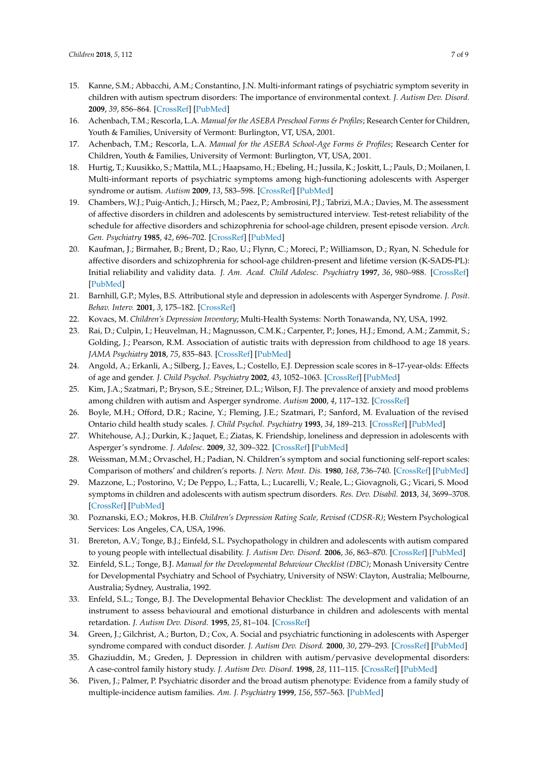- <span id="page-6-0"></span>15. Kanne, S.M.; Abbacchi, A.M.; Constantino, J.N. Multi-informant ratings of psychiatric symptom severity in children with autism spectrum disorders: The importance of environmental context. *J. Autism Dev. Disord.* **2009**, *39*, 856–864. [\[CrossRef\]](http://dx.doi.org/10.1007/s10803-009-0694-7) [\[PubMed\]](http://www.ncbi.nlm.nih.gov/pubmed/19191016)
- <span id="page-6-1"></span>16. Achenbach, T.M.; Rescorla, L.A. *Manual for the ASEBA Preschool Forms & Profiles*; Research Center for Children, Youth & Families, University of Vermont: Burlington, VT, USA, 2001.
- <span id="page-6-2"></span>17. Achenbach, T.M.; Rescorla, L.A. *Manual for the ASEBA School-Age Forms & Profiles*; Research Center for Children, Youth & Families, University of Vermont: Burlington, VT, USA, 2001.
- <span id="page-6-3"></span>18. Hurtig, T.; Kuusikko, S.; Mattila, M.L.; Haapsamo, H.; Ebeling, H.; Jussila, K.; Joskitt, L.; Pauls, D.; Moilanen, I. Multi-informant reports of psychiatric symptoms among high-functioning adolescents with Asperger syndrome or autism. *Autism* **2009**, *13*, 583–598. [\[CrossRef\]](http://dx.doi.org/10.1177/1362361309335719) [\[PubMed\]](http://www.ncbi.nlm.nih.gov/pubmed/19933765)
- <span id="page-6-4"></span>19. Chambers, W.J.; Puig-Antich, J.; Hirsch, M.; Paez, P.; Ambrosini, P.J.; Tabrizi, M.A.; Davies, M. The assessment of affective disorders in children and adolescents by semistructured interview. Test-retest reliability of the schedule for affective disorders and schizophrenia for school-age children, present episode version. *Arch. Gen. Psychiatry* **1985**, *42*, 696–702. [\[CrossRef\]](http://dx.doi.org/10.1001/archpsyc.1985.01790300064008) [\[PubMed\]](http://www.ncbi.nlm.nih.gov/pubmed/4015311)
- <span id="page-6-5"></span>20. Kaufman, J.; Birmaher, B.; Brent, D.; Rao, U.; Flynn, C.; Moreci, P.; Williamson, D.; Ryan, N. Schedule for affective disorders and schizophrenia for school-age children-present and lifetime version (K-SADS-PL): Initial reliability and validity data. *J. Am. Acad. Child Adolesc. Psychiatry* **1997**, *36*, 980–988. [\[CrossRef\]](http://dx.doi.org/10.1097/00004583-199707000-00021) [\[PubMed\]](http://www.ncbi.nlm.nih.gov/pubmed/9204677)
- <span id="page-6-6"></span>21. Barnhill, G.P.; Myles, B.S. Attributional style and depression in adolescents with Asperger Syndrome. *J. Posit. Behav. Interv.* **2001**, *3*, 175–182. [\[CrossRef\]](http://dx.doi.org/10.1177/109830070100300305)
- <span id="page-6-7"></span>22. Kovacs, M. *Children's Depression Inventory*; Multi-Health Systems: North Tonawanda, NY, USA, 1992.
- <span id="page-6-8"></span>23. Rai, D.; Culpin, I.; Heuvelman, H.; Magnusson, C.M.K.; Carpenter, P.; Jones, H.J.; Emond, A.M.; Zammit, S.; Golding, J.; Pearson, R.M. Association of autistic traits with depression from childhood to age 18 years. *JAMA Psychiatry* **2018**, *75*, 835–843. [\[CrossRef\]](http://dx.doi.org/10.1001/jamapsychiatry.2018.1323) [\[PubMed\]](http://www.ncbi.nlm.nih.gov/pubmed/29898212)
- <span id="page-6-9"></span>24. Angold, A.; Erkanli, A.; Silberg, J.; Eaves, L.; Costello, E.J. Depression scale scores in 8–17-year-olds: Effects of age and gender. *J. Child Psychol. Psychiatry* **2002**, *43*, 1052–1063. [\[CrossRef\]](http://dx.doi.org/10.1111/1469-7610.00232) [\[PubMed\]](http://www.ncbi.nlm.nih.gov/pubmed/12455926)
- <span id="page-6-10"></span>25. Kim, J.A.; Szatmari, P.; Bryson, S.E.; Streiner, D.L.; Wilson, F.J. The prevalence of anxiety and mood problems among children with autism and Asperger syndrome. *Autism* **2000**, *4*, 117–132. [\[CrossRef\]](http://dx.doi.org/10.1177/1362361300004002002)
- <span id="page-6-11"></span>26. Boyle, M.H.; Offord, D.R.; Racine, Y.; Fleming, J.E.; Szatmari, P.; Sanford, M. Evaluation of the revised Ontario child health study scales. *J. Child Psychol. Psychiatry* **1993**, *34*, 189–213. [\[CrossRef\]](http://dx.doi.org/10.1111/j.1469-7610.1993.tb00979.x) [\[PubMed\]](http://www.ncbi.nlm.nih.gov/pubmed/8444992)
- <span id="page-6-12"></span>27. Whitehouse, A.J.; Durkin, K.; Jaquet, E.; Ziatas, K. Friendship, loneliness and depression in adolescents with Asperger's syndrome. *J. Adolesc.* **2009**, *32*, 309–322. [\[CrossRef\]](http://dx.doi.org/10.1016/j.adolescence.2008.03.004) [\[PubMed\]](http://www.ncbi.nlm.nih.gov/pubmed/18692233)
- <span id="page-6-13"></span>28. Weissman, M.M.; Orvaschel, H.; Padian, N. Children's symptom and social functioning self-report scales: Comparison of mothers' and children's reports. *J. Nerv. Ment. Dis.* **1980**, *168*, 736–740. [\[CrossRef\]](http://dx.doi.org/10.1097/00005053-198012000-00005) [\[PubMed\]](http://www.ncbi.nlm.nih.gov/pubmed/7452212)
- <span id="page-6-14"></span>29. Mazzone, L.; Postorino, V.; De Peppo, L.; Fatta, L.; Lucarelli, V.; Reale, L.; Giovagnoli, G.; Vicari, S. Mood symptoms in children and adolescents with autism spectrum disorders. *Res. Dev. Disabil.* **2013**, *34*, 3699–3708. [\[CrossRef\]](http://dx.doi.org/10.1016/j.ridd.2013.07.034) [\[PubMed\]](http://www.ncbi.nlm.nih.gov/pubmed/24029798)
- <span id="page-6-15"></span>30. Poznanski, E.O.; Mokros, H.B. *Children's Depression Rating Scale, Revised (CDSR-R)*; Western Psychological Services: Los Angeles, CA, USA, 1996.
- <span id="page-6-16"></span>31. Brereton, A.V.; Tonge, B.J.; Einfeld, S.L. Psychopathology in children and adolescents with autism compared to young people with intellectual disability. *J. Autism Dev. Disord.* **2006**, *36*, 863–870. [\[CrossRef\]](http://dx.doi.org/10.1007/s10803-006-0125-y) [\[PubMed\]](http://www.ncbi.nlm.nih.gov/pubmed/16897401)
- <span id="page-6-17"></span>32. Einfeld, S.L.; Tonge, B.J. *Manual for the Developmental Behaviour Checklist (DBC)*; Monash University Centre for Developmental Psychiatry and School of Psychiatry, University of NSW: Clayton, Australia; Melbourne, Australia; Sydney, Australia, 1992.
- <span id="page-6-18"></span>33. Enfeld, S.L.; Tonge, B.J. The Developmental Behavior Checklist: The development and validation of an instrument to assess behavioural and emotional disturbance in children and adolescents with mental retardation. *J. Autism Dev. Disord.* **1995**, *25*, 81–104. [\[CrossRef\]](http://dx.doi.org/10.1007/BF02178498)
- <span id="page-6-19"></span>34. Green, J.; Gilchrist, A.; Burton, D.; Cox, A. Social and psychiatric functioning in adolescents with Asperger syndrome compared with conduct disorder. *J. Autism Dev. Disord.* **2000**, *30*, 279–293. [\[CrossRef\]](http://dx.doi.org/10.1023/A:1005523232106) [\[PubMed\]](http://www.ncbi.nlm.nih.gov/pubmed/11039855)
- <span id="page-6-20"></span>35. Ghaziuddin, M.; Greden, J. Depression in children with autism/pervasive developmental disorders: A case-control family history study. *J. Autism Dev. Disord.* **1998**, *28*, 111–115. [\[CrossRef\]](http://dx.doi.org/10.1023/A:1026036514719) [\[PubMed\]](http://www.ncbi.nlm.nih.gov/pubmed/9586773)
- <span id="page-6-21"></span>36. Piven, J.; Palmer, P. Psychiatric disorder and the broad autism phenotype: Evidence from a family study of multiple-incidence autism families. *Am. J. Psychiatry* **1999**, *156*, 557–563. [\[PubMed\]](http://www.ncbi.nlm.nih.gov/pubmed/10200734)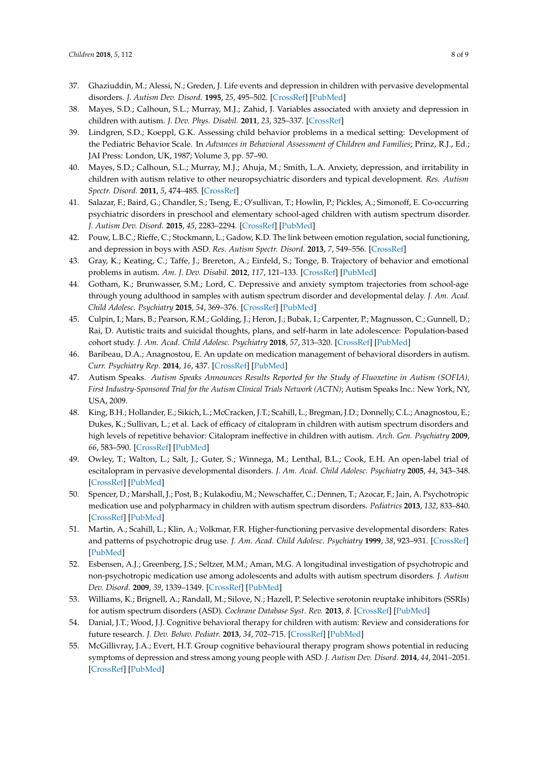- <span id="page-7-0"></span>37. Ghaziuddin, M.; Alessi, N.; Greden, J. Life events and depression in children with pervasive developmental disorders. *J. Autism Dev. Disord.* **1995**, *25*, 495–502. [\[CrossRef\]](http://dx.doi.org/10.1007/BF02178296) [\[PubMed\]](http://www.ncbi.nlm.nih.gov/pubmed/8567595)
- <span id="page-7-1"></span>38. Mayes, S.D.; Calhoun, S.L.; Murray, M.J.; Zahid, J. Variables associated with anxiety and depression in children with autism. *J. Dev. Phys. Disabil.* **2011**, *23*, 325–337. [\[CrossRef\]](http://dx.doi.org/10.1007/s10882-011-9231-7)
- <span id="page-7-2"></span>39. Lindgren, S.D.; Koeppl, G.K. Assessing child behavior problems in a medical setting: Development of the Pediatric Behavior Scale. In *Advances in Behavioral Assessment of Children and Families*; Prinz, R.J., Ed.; JAI Press: London, UK, 1987; Volume 3, pp. 57–90.
- <span id="page-7-3"></span>40. Mayes, S.D.; Calhoun, S.L.; Murray, M.J.; Ahuja, M.; Smith, L.A. Anxiety, depression, and irritability in children with autism relative to other neuropsychiatric disorders and typical development. *Res. Autism Spectr. Disord.* **2011**, *5*, 474–485. [\[CrossRef\]](http://dx.doi.org/10.1016/j.rasd.2010.06.012)
- <span id="page-7-4"></span>41. Salazar, F.; Baird, G.; Chandler, S.; Tseng, E.; O'sullivan, T.; Howlin, P.; Pickles, A.; Simonoff, E. Co-occurring psychiatric disorders in preschool and elementary school-aged children with autism spectrum disorder. *J. Autism Dev. Disord.* **2015**, *45*, 2283–2294. [\[CrossRef\]](http://dx.doi.org/10.1007/s10803-015-2361-5) [\[PubMed\]](http://www.ncbi.nlm.nih.gov/pubmed/25737019)
- <span id="page-7-5"></span>42. Pouw, L.B.C.; Rieffe, C.; Stockmann, L.; Gadow, K.D. The link between emotion regulation, social functioning, and depression in boys with ASD. *Res. Autism Spectr. Disord.* **2013**, *7*, 549–556. [\[CrossRef\]](http://dx.doi.org/10.1016/j.rasd.2013.01.002)
- <span id="page-7-6"></span>43. Gray, K.; Keating, C.; Taffe, J.; Brereton, A.; Einfeld, S.; Tonge, B. Trajectory of behavior and emotional problems in autism. *Am. J. Dev. Disabil.* **2012**, *117*, 121–133. [\[CrossRef\]](http://dx.doi.org/10.1352/1944-7588-117-2.121) [\[PubMed\]](http://www.ncbi.nlm.nih.gov/pubmed/22515827)
- <span id="page-7-7"></span>44. Gotham, K.; Brunwasser, S.M.; Lord, C. Depressive and anxiety symptom trajectories from school-age through young adulthood in samples with autism spectrum disorder and developmental delay. *J. Am. Acad. Child Adolesc. Psychiatry* **2015**, *54*, 369–376. [\[CrossRef\]](http://dx.doi.org/10.1016/j.jaac.2015.02.005) [\[PubMed\]](http://www.ncbi.nlm.nih.gov/pubmed/25901773)
- <span id="page-7-8"></span>45. Culpin, I.; Mars, B.; Pearson, R.M.; Golding, J.; Heron, J.; Bubak, I.; Carpenter, P.; Magnusson, C.; Gunnell, D.; Rai, D. Autistic traits and suicidal thoughts, plans, and self-harm in late adolescence: Population-based cohort study. *J. Am. Acad. Child Adolesc. Psychiatry* **2018**, *57*, 313–320. [\[CrossRef\]](http://dx.doi.org/10.1016/j.jaac.2018.01.023) [\[PubMed\]](http://www.ncbi.nlm.nih.gov/pubmed/29706160)
- <span id="page-7-9"></span>46. Baribeau, D.A.; Anagnostou, E. An update on medication management of behavioral disorders in autism. *Curr. Psychiatry Rep.* **2014**, *16*, 437. [\[CrossRef\]](http://dx.doi.org/10.1007/s11920-014-0437-0) [\[PubMed\]](http://www.ncbi.nlm.nih.gov/pubmed/24488702)
- <span id="page-7-10"></span>47. Autism Speaks. *Autism Speaks Announces Results Reported for the Study of Fluoxetine in Autism (SOFIA), First Industry-Sponsored Trial for the Autism Clinical Trials Network (ACTN)*; Autism Speaks Inc.: New York, NY, USA, 2009.
- <span id="page-7-11"></span>48. King, B.H.; Hollander, E.; Sikich, L.; McCracken, J.T.; Scahill, L.; Bregman, J.D.; Donnelly, C.L.; Anagnostou, E.; Dukes, K.; Sullivan, L.; et al. Lack of efficacy of citalopram in children with autism spectrum disorders and high levels of repetitive behavior: Citalopram ineffective in children with autism. *Arch. Gen. Psychiatry* **2009**, *66*, 583–590. [\[CrossRef\]](http://dx.doi.org/10.1001/archgenpsychiatry.2009.30) [\[PubMed\]](http://www.ncbi.nlm.nih.gov/pubmed/19487623)
- <span id="page-7-12"></span>49. Owley, T.; Walton, L.; Salt, J.; Guter, S.; Winnega, M.; Lenthal, B.L.; Cook, E.H. An open-label trial of escitalopram in pervasive developmental disorders. *J. Am. Acad. Child Adolesc. Psychiatry* **2005**, *44*, 343–348. [\[CrossRef\]](http://dx.doi.org/10.1097/01.chi.0000153229.80215.a0) [\[PubMed\]](http://www.ncbi.nlm.nih.gov/pubmed/15782081)
- <span id="page-7-13"></span>50. Spencer, D.; Marshall, J.; Post, B.; Kulakodiu, M.; Newschaffer, C.; Dennen, T.; Azocar, F.; Jain, A. Psychotropic medication use and polypharmacy in children with autism spectrum disorders. *Pediatrics* **2013**, *132*, 833–840. [\[CrossRef\]](http://dx.doi.org/10.1542/peds.2012-3774) [\[PubMed\]](http://www.ncbi.nlm.nih.gov/pubmed/24144704)
- <span id="page-7-14"></span>51. Martin, A.; Scahill, L.; Klin, A.; Volkmar, F.R. Higher-functioning pervasive developmental disorders: Rates and patterns of psychotropic drug use. *J. Am. Acad. Child Adolesc. Psychiatry* **1999**, *38*, 923–931. [\[CrossRef\]](http://dx.doi.org/10.1097/00004583-199907000-00024) [\[PubMed\]](http://www.ncbi.nlm.nih.gov/pubmed/10405512)
- <span id="page-7-15"></span>52. Esbensen, A.J.; Greenberg, J.S.; Seltzer, M.M.; Aman, M.G. A longitudinal investigation of psychotropic and non-psychotropic medication use among adolescents and adults with autism spectrum disorders. *J. Autism Dev. Disord.* **2009**, *39*, 1339–1349. [\[CrossRef\]](http://dx.doi.org/10.1007/s10803-009-0750-3) [\[PubMed\]](http://www.ncbi.nlm.nih.gov/pubmed/19434487)
- <span id="page-7-16"></span>53. Williams, K.; Brignell, A.; Randall, M.; Silove, N.; Hazell, P. Selective serotonin reuptake inhibitors (SSRIs) for autism spectrum disorders (ASD). *Cochrane Database Syst. Rev.* **2013**, *8*. [\[CrossRef\]](http://dx.doi.org/10.1002/14651858.CD004677.pub3) [\[PubMed\]](http://www.ncbi.nlm.nih.gov/pubmed/23959778)
- <span id="page-7-17"></span>54. Danial, J.T.; Wood, J.J. Cognitive behavioral therapy for children with autism: Review and considerations for future research. *J. Dev. Behav. Pediatr.* **2013**, *34*, 702–715. [\[CrossRef\]](http://dx.doi.org/10.1097/DBP.0b013e31829f676c) [\[PubMed\]](http://www.ncbi.nlm.nih.gov/pubmed/23917373)
- <span id="page-7-18"></span>55. McGillivray, J.A.; Evert, H.T. Group cognitive behavioural therapy program shows potential in reducing symptoms of depression and stress among young people with ASD. *J. Autism Dev. Disord.* **2014**, *44*, 2041–2051. [\[CrossRef\]](http://dx.doi.org/10.1007/s10803-014-2087-9) [\[PubMed\]](http://www.ncbi.nlm.nih.gov/pubmed/24634065)